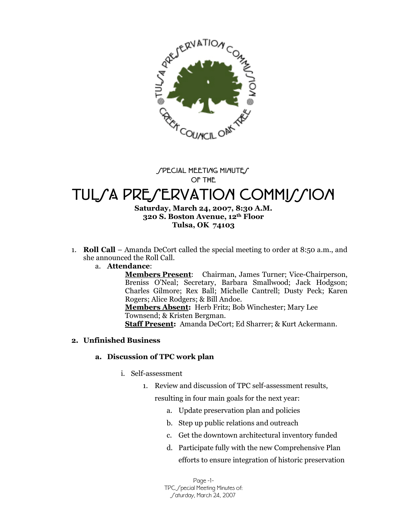

#### **SPECIAL MEETING MINUTES OF THE**

# TULSA PRESERVATION COMMISSION

### **Saturday, March 24, 2007, 8:30 A.M. 320 S. Boston Avenue, 12th Floor Tulsa, OK 74103**

1. **Roll Call** –Amanda DeCort called the special meeting to order at 8:50 a.m., and she announced the Roll Call.

### a. **Attendance**:

**Members Present**: Chairman, James Turner; Vice-Chairperson, Breniss O'Neal; Secretary, Barbara Smallwood; Jack Hodgson; Charles Gilmore; Rex Ball; Michelle Cantrell; Dusty Peck; Karen Rogers; Alice Rodgers; & Bill Andoe. **Members Absent:** Herb Fritz; Bob Winchester; Mary Lee

Townsend; & Kristen Bergman.

**Staff Present:** Amanda DeCort; Ed Sharrer; & Kurt Ackermann.

## **2. Unfinished Business**

### **a. Discussion of TPC work plan**

- i. Self-assessment
	- 1. Review and discussion of TPC self-assessment results,

resulting in four main goals for the next year:

- a. Update preservation plan and policies
- b. Step up public relations and outreach
- c. Get the downtown architectural inventory funded
- d. Participate fully with the new Comprehensive Plan efforts to ensure integration of historic preservation

Page -1- TPC / pecial Meeting Minutes of: Saturday, March 24, 2007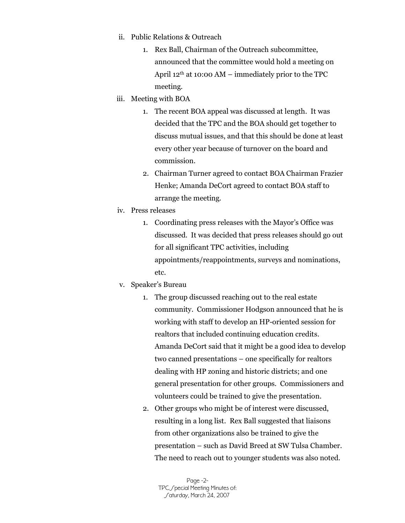- ii. Public Relations & Outreach
	- 1. Rex Ball, Chairman of the Outreach subcommittee, announced that the committee would hold a meeting on April  $12<sup>th</sup>$  at 10:00 AM – immediately prior to the TPC meeting.
- iii. Meeting with BOA
	- 1. The recent BOA appeal was discussed at length. It was decided that the TPC and the BOA should get together to discuss mutual issues, and that this should be done at least every other year because of turnover on the board and commission.
	- 2. Chairman Turner agreed to contact BOA Chairman Frazier Henke; Amanda DeCort agreed to contact BOA staff to arrange the meeting.
- iv. Press releases
	- 1. Coordinating press releases with the Mayor's Office was discussed. It was decided that press releases should go out for all significant TPC activities, including appointments/reappointments, surveys and nominations, etc.
- v. Speaker's Bureau
	- 1. The group discussed reaching out to the real estate community. Commissioner Hodgson announced that he is working with staff to develop an HP-oriented session for realtors that included continuing education credits. Amanda DeCort said that it might be a good idea to develop two canned presentations – one specifically for realtors dealing with HP zoning and historic districts; and one general presentation for other groups. Commissioners and volunteers could be trained to give the presentation.
	- 2. Other groups who might be of interest were discussed, resulting in a long list. Rex Ball suggested that liaisons from other organizations also be trained to give the presentation – such as David Breed at SW Tulsa Chamber. The need to reach out to younger students was also noted.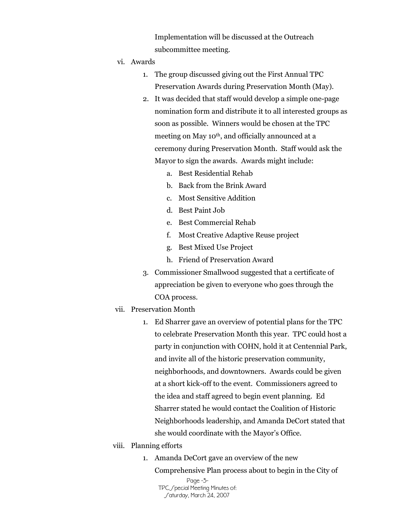Implementation will be discussed at the Outreach subcommittee meeting.

- vi. Awards
	- 1. The group discussed giving out the First Annual TPC Preservation Awards during Preservation Month (May).
	- 2. It was decided that staff would develop a simple one-page nomination form and distribute it to all interested groups as soon as possible. Winners would be chosen at the TPC meeting on May 10<sup>th</sup>, and officially announced at a ceremony during Preservation Month. Staff would ask the Mayor to sign the awards. Awards might include:
		- a. Best Residential Rehab
		- b. Back from the Brink Award
		- c. Most Sensitive Addition
		- d. Best Paint Job
		- e. Best Commercial Rehab
		- f. Most Creative Adaptive Reuse project
		- g. Best Mixed Use Project
		- h. Friend of Preservation Award
	- 3. Commissioner Smallwood suggested that a certificate of appreciation be given to everyone who goes through the COA process.
- vii. Preservation Month
	- 1. Ed Sharrer gave an overview of potential plans for the TPC to celebrate Preservation Month this year. TPC could host a party in conjunction with COHN, hold it at Centennial Park, and invite all of the historic preservation community, neighborhoods, and downtowners. Awards could be given at a short kick-off to the event. Commissioners agreed to the idea and staff agreed to begin event planning. Ed Sharrer stated he would contact the Coalition of Historic Neighborhoods leadership, and Amanda DeCort stated that she would coordinate with the Mayor's Office.
- viii. Planning efforts
	- 1. Amanda DeCort gave an overview of the new

Page -3- TPC / pecial Meeting Minutes of: Caturday, March 24, 2007 Comprehensive Plan process about to begin in the City of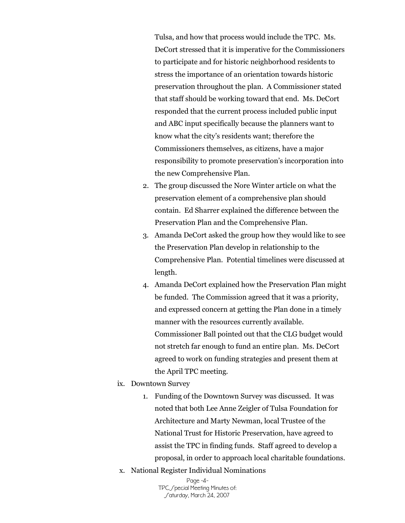Tulsa, and how that process would include the TPC. Ms. DeCort stressed that it is imperative for the Commissioners to participate and for historic neighborhood residents to stress the importance of an orientation towards historic preservation throughout the plan. A Commissioner stated that staff should be working toward that end. Ms. DeCort responded that the current process included public input and ABC input specifically because the planners want to know what the city's residents want; therefore the Commissioners themselves, as citizens, have a major responsibility to promote preservation's incorporation into the new Comprehensive Plan.

- 2. The group discussed the Nore Winter article on what the preservation element of a comprehensive plan should contain. Ed Sharrer explained the difference between the Preservation Plan and the Comprehensive Plan.
- 3. Amanda DeCort asked the group how they would like to see the Preservation Plan develop in relationship to the Comprehensive Plan. Potential timelines were discussed at length.
- 4. Amanda DeCort explained how the Preservation Plan might be funded. The Commission agreed that it was a priority, and expressed concern at getting the Plan done in a timely manner with the resources currently available. Commissioner Ball pointed out that the CLG budget would not stretch far enough to fund an entire plan. Ms. DeCort agreed to work on funding strategies and present them at the April TPC meeting.
- ix. Downtown Survey
	- 1. Funding of the Downtown Survey was discussed. It was noted that both Lee Anne Zeigler of Tulsa Foundation for Architecture and Marty Newman, local Trustee of the National Trust for Historic Preservation, have agreed to assist the TPC in finding funds. Staff agreed to develop a proposal, in order to approach local charitable foundations.
- x. National Register Individual Nominations

Page -4- TPC / pecial Meeting Minutes of: Caturday, March 24, 2007